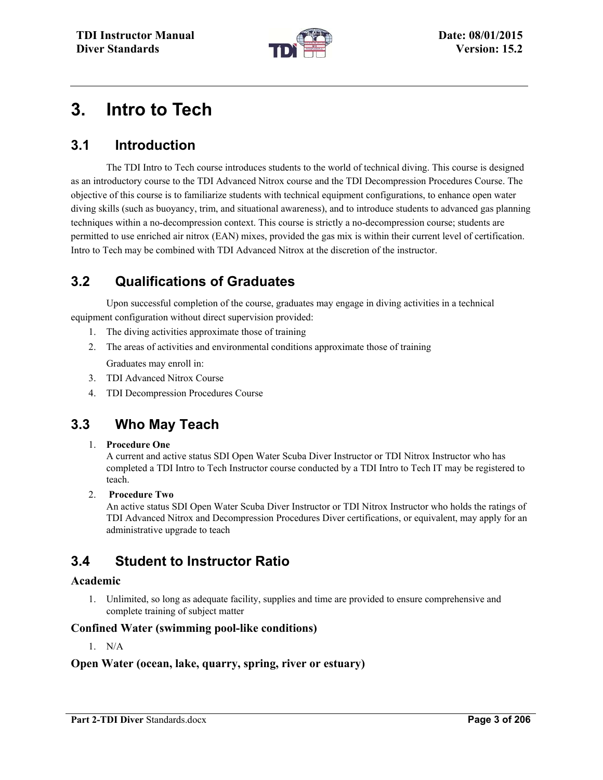

# **3. Intro to Tech**

# **3.1 Introduction**

The TDI Intro to Tech course introduces students to the world of technical diving. This course is designed as an introductory course to the TDI Advanced Nitrox course and the TDI Decompression Procedures Course. The objective of this course is to familiarize students with technical equipment configurations, to enhance open water diving skills (such as buoyancy, trim, and situational awareness), and to introduce students to advanced gas planning techniques within a no-decompression context. This course is strictly a no-decompression course; students are permitted to use enriched air nitrox (EAN) mixes, provided the gas mix is within their current level of certification. Intro to Tech may be combined with TDI Advanced Nitrox at the discretion of the instructor.

# **3.2 Qualifications of Graduates**

Upon successful completion of the course, graduates may engage in diving activities in a technical equipment configuration without direct supervision provided:

- 1. The diving activities approximate those of training
- 2. The areas of activities and environmental conditions approximate those of training Graduates may enroll in:
- 3. TDI Advanced Nitrox Course
- 4. TDI Decompression Procedures Course

## **3.3 Who May Teach**

#### 1. **Procedure One**

A current and active status SDI Open Water Scuba Diver Instructor or TDI Nitrox Instructor who has completed a TDI Intro to Tech Instructor course conducted by a TDI Intro to Tech IT may be registered to teach.

#### 2. **Procedure Two**

An active status SDI Open Water Scuba Diver Instructor or TDI Nitrox Instructor who holds the ratings of TDI Advanced Nitrox and Decompression Procedures Diver certifications, or equivalent, may apply for an administrative upgrade to teach

## **3.4 Student to Instructor Ratio**

### **Academic**

1. Unlimited, so long as adequate facility, supplies and time are provided to ensure comprehensive and complete training of subject matter

### **Confined Water (swimming pool-like conditions)**

1. N/A

### **Open Water (ocean, lake, quarry, spring, river or estuary)**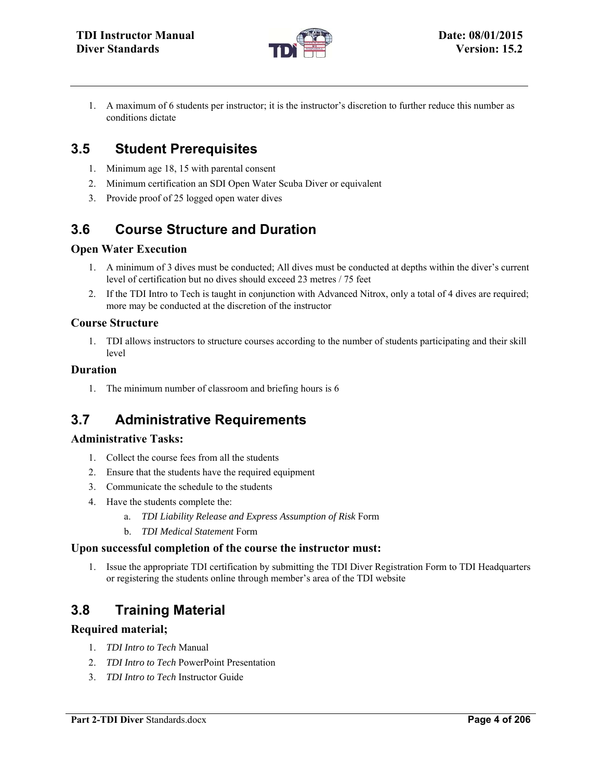

1. A maximum of 6 students per instructor; it is the instructor's discretion to further reduce this number as conditions dictate

# **3.5 Student Prerequisites**

- 1. Minimum age 18, 15 with parental consent
- 2. Minimum certification an SDI Open Water Scuba Diver or equivalent
- 3. Provide proof of 25 logged open water dives

# **3.6 Course Structure and Duration**

### **Open Water Execution**

- 1. A minimum of 3 dives must be conducted; All dives must be conducted at depths within the diver's current level of certification but no dives should exceed 23 metres / 75 feet
- 2. If the TDI Intro to Tech is taught in conjunction with Advanced Nitrox, only a total of 4 dives are required; more may be conducted at the discretion of the instructor

### **Course Structure**

1. TDI allows instructors to structure courses according to the number of students participating and their skill level

### **Duration**

1. The minimum number of classroom and briefing hours is 6

## **3.7 Administrative Requirements**

### **Administrative Tasks:**

- 1. Collect the course fees from all the students
- 2. Ensure that the students have the required equipment
- 3. Communicate the schedule to the students
- 4. Have the students complete the:
	- a. *TDI Liability Release and Express Assumption of Risk* Form
		- b. *TDI Medical Statement* Form

### **Upon successful completion of the course the instructor must:**

1. Issue the appropriate TDI certification by submitting the TDI Diver Registration Form to TDI Headquarters or registering the students online through member's area of the TDI website

# **3.8 Training Material**

### **Required material;**

- 1. *TDI Intro to Tech* Manual
- 2. *TDI Intro to Tech* PowerPoint Presentation
- 3. *TDI Intro to Tech* Instructor Guide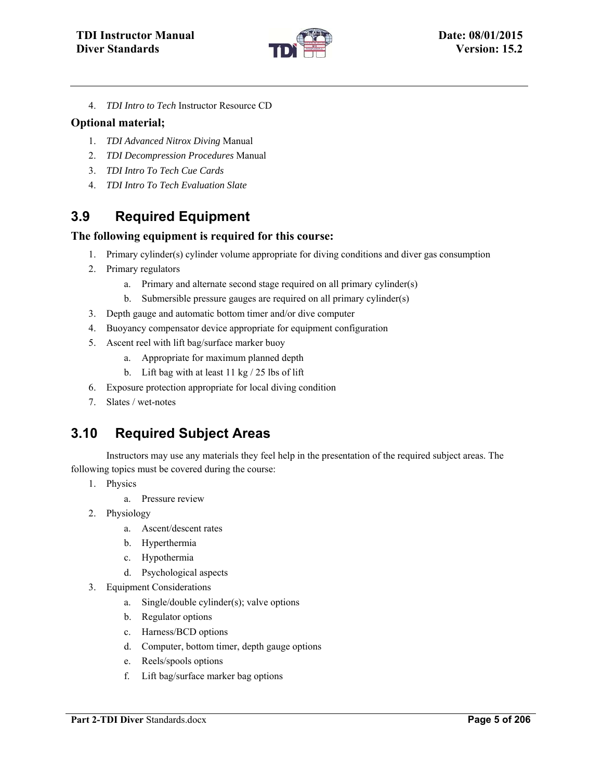

4. *TDI Intro to Tech* Instructor Resource CD

#### **Optional material;**

- 1. *TDI Advanced Nitrox Diving* Manual
- 2. *TDI Decompression Procedures* Manual
- 3. *TDI Intro To Tech Cue Cards*
- 4. *TDI Intro To Tech Evaluation Slate*

### **3.9 Required Equipment**

### **The following equipment is required for this course:**

- 1. Primary cylinder(s) cylinder volume appropriate for diving conditions and diver gas consumption
- 2. Primary regulators
	- a. Primary and alternate second stage required on all primary cylinder(s)
	- b. Submersible pressure gauges are required on all primary cylinder(s)
- 3. Depth gauge and automatic bottom timer and/or dive computer
- 4. Buoyancy compensator device appropriate for equipment configuration
- 5. Ascent reel with lift bag/surface marker buoy
	- a. Appropriate for maximum planned depth
	- b. Lift bag with at least 11 kg / 25 lbs of lift
- 6. Exposure protection appropriate for local diving condition
- 7. Slates / wet-notes

## **3.10 Required Subject Areas**

Instructors may use any materials they feel help in the presentation of the required subject areas. The following topics must be covered during the course:

- 1. Physics
	- a. Pressure review
- 2. Physiology
	- a. Ascent/descent rates
	- b. Hyperthermia
	- c. Hypothermia
	- d. Psychological aspects
- 3. Equipment Considerations
	- a. Single/double cylinder(s); valve options
	- b. Regulator options
	- c. Harness/BCD options
	- d. Computer, bottom timer, depth gauge options
	- e. Reels/spools options
	- f. Lift bag/surface marker bag options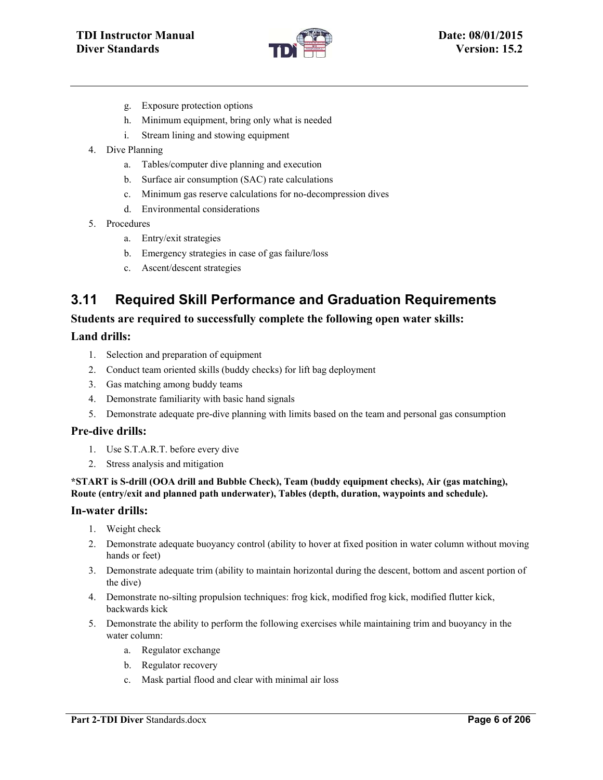

- g. Exposure protection options
- h. Minimum equipment, bring only what is needed
- i. Stream lining and stowing equipment
- 4. Dive Planning
	- a. Tables/computer dive planning and execution
	- b. Surface air consumption (SAC) rate calculations
	- c. Minimum gas reserve calculations for no-decompression dives
	- d. Environmental considerations
- 5. Procedures
	- a. Entry/exit strategies
	- b. Emergency strategies in case of gas failure/loss
	- c. Ascent/descent strategies

# **3.11 Required Skill Performance and Graduation Requirements**

#### **Students are required to successfully complete the following open water skills:**

### **Land drills:**

- 1. Selection and preparation of equipment
- 2. Conduct team oriented skills (buddy checks) for lift bag deployment
- 3. Gas matching among buddy teams
- 4. Demonstrate familiarity with basic hand signals
- 5. Demonstrate adequate pre-dive planning with limits based on the team and personal gas consumption

#### **Pre-dive drills:**

- 1. Use S.T.A.R.T. before every dive
- 2. Stress analysis and mitigation

#### **\*START is S-drill (OOA drill and Bubble Check), Team (buddy equipment checks), Air (gas matching), Route (entry/exit and planned path underwater), Tables (depth, duration, waypoints and schedule).**

#### **In-water drills:**

- 1. Weight check
- 2. Demonstrate adequate buoyancy control (ability to hover at fixed position in water column without moving hands or feet)
- 3. Demonstrate adequate trim (ability to maintain horizontal during the descent, bottom and ascent portion of the dive)
- 4. Demonstrate no-silting propulsion techniques: frog kick, modified frog kick, modified flutter kick, backwards kick
- 5. Demonstrate the ability to perform the following exercises while maintaining trim and buoyancy in the water column:
	- a. Regulator exchange
	- b. Regulator recovery
	- c. Mask partial flood and clear with minimal air loss